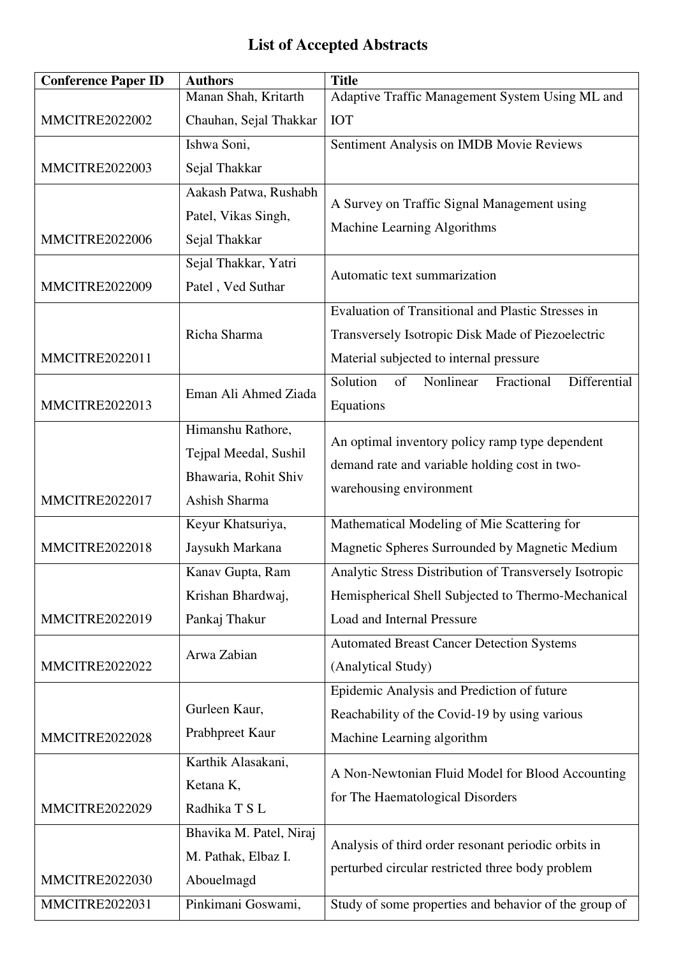## **List of Accepted Abstracts**

| <b>Conference Paper ID</b> | <b>Authors</b>                                                                      | <b>Title</b>                                                                                                                                              |
|----------------------------|-------------------------------------------------------------------------------------|-----------------------------------------------------------------------------------------------------------------------------------------------------------|
|                            | Manan Shah, Kritarth                                                                | Adaptive Traffic Management System Using ML and                                                                                                           |
| <b>MMCITRE2022002</b>      | Chauhan, Sejal Thakkar                                                              | <b>IOT</b>                                                                                                                                                |
|                            | Ishwa Soni,                                                                         | Sentiment Analysis on IMDB Movie Reviews                                                                                                                  |
| <b>MMCITRE2022003</b>      | Sejal Thakkar                                                                       |                                                                                                                                                           |
| <b>MMCITRE2022006</b>      | Aakash Patwa, Rushabh<br>Patel, Vikas Singh,<br>Sejal Thakkar                       | A Survey on Traffic Signal Management using<br>Machine Learning Algorithms                                                                                |
| <b>MMCITRE2022009</b>      | Sejal Thakkar, Yatri<br>Patel, Ved Suthar                                           | Automatic text summarization                                                                                                                              |
| <b>MMCITRE2022011</b>      | Richa Sharma                                                                        | <b>Evaluation of Transitional and Plastic Stresses in</b><br>Transversely Isotropic Disk Made of Piezoelectric<br>Material subjected to internal pressure |
| <b>MMCITRE2022013</b>      | Eman Ali Ahmed Ziada                                                                | Solution<br>of<br>Nonlinear<br>Fractional<br>Differential<br>Equations                                                                                    |
| <b>MMCITRE2022017</b>      | Himanshu Rathore,<br>Tejpal Meedal, Sushil<br>Bhawaria, Rohit Shiv<br>Ashish Sharma | An optimal inventory policy ramp type dependent<br>demand rate and variable holding cost in two-<br>warehousing environment                               |
|                            | Keyur Khatsuriya,                                                                   | Mathematical Modeling of Mie Scattering for                                                                                                               |
| <b>MMCITRE2022018</b>      | Jaysukh Markana                                                                     | Magnetic Spheres Surrounded by Magnetic Medium                                                                                                            |
|                            | Kanav Gupta, Ram                                                                    | Analytic Stress Distribution of Transversely Isotropic                                                                                                    |
|                            | Krishan Bhardwaj,                                                                   | Hemispherical Shell Subjected to Thermo-Mechanical                                                                                                        |
| <b>MMCITRE2022019</b>      | Pankaj Thakur                                                                       | Load and Internal Pressure                                                                                                                                |
| <b>MMCITRE2022022</b>      | Arwa Zabian                                                                         | <b>Automated Breast Cancer Detection Systems</b><br>(Analytical Study)                                                                                    |
| <b>MMCITRE2022028</b>      | Gurleen Kaur,<br>Prabhpreet Kaur                                                    | Epidemic Analysis and Prediction of future<br>Reachability of the Covid-19 by using various<br>Machine Learning algorithm                                 |
| MMCITRE2022029             | Karthik Alasakani,<br>Ketana K,<br>Radhika T S L                                    | A Non-Newtonian Fluid Model for Blood Accounting<br>for The Haematological Disorders                                                                      |
| <b>MMCITRE2022030</b>      | Bhavika M. Patel, Niraj<br>M. Pathak, Elbaz I.<br>Abouelmagd                        | Analysis of third order resonant periodic orbits in<br>perturbed circular restricted three body problem                                                   |
| <b>MMCITRE2022031</b>      | Pinkimani Goswami,                                                                  | Study of some properties and behavior of the group of                                                                                                     |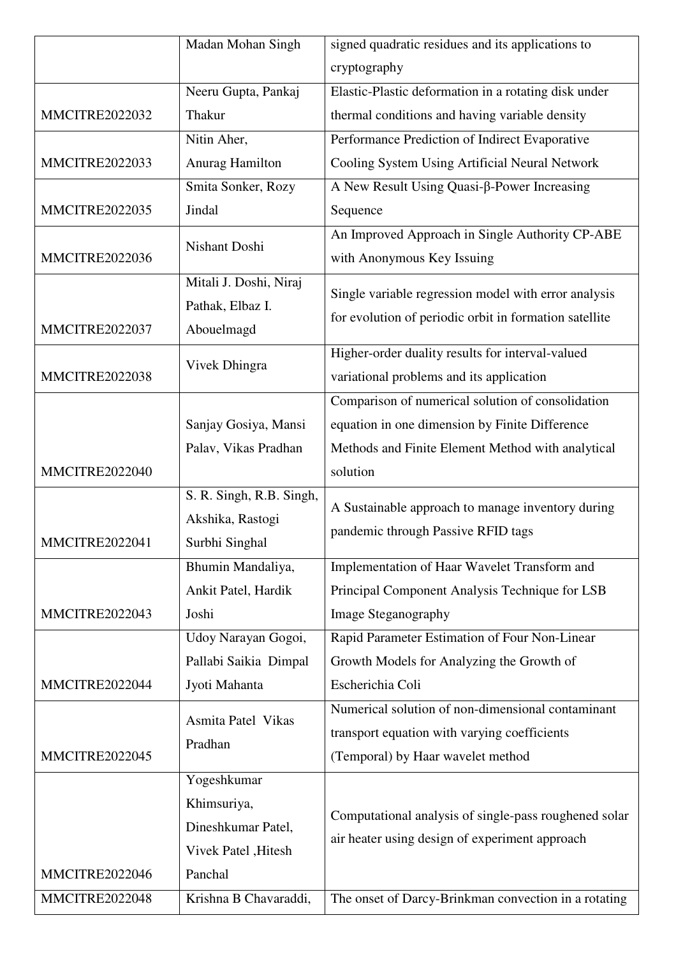|                       | Madan Mohan Singh                                                                   | signed quadratic residues and its applications to                                                                                      |
|-----------------------|-------------------------------------------------------------------------------------|----------------------------------------------------------------------------------------------------------------------------------------|
|                       |                                                                                     | cryptography                                                                                                                           |
|                       | Neeru Gupta, Pankaj                                                                 | Elastic-Plastic deformation in a rotating disk under                                                                                   |
| <b>MMCITRE2022032</b> | Thakur                                                                              | thermal conditions and having variable density                                                                                         |
|                       | Nitin Aher,                                                                         | Performance Prediction of Indirect Evaporative                                                                                         |
| <b>MMCITRE2022033</b> | Anurag Hamilton                                                                     | Cooling System Using Artificial Neural Network                                                                                         |
|                       | Smita Sonker, Rozy                                                                  | A New Result Using Quasi-β-Power Increasing                                                                                            |
| <b>MMCITRE2022035</b> | Jindal                                                                              | Sequence                                                                                                                               |
| <b>MMCITRE2022036</b> | Nishant Doshi                                                                       | An Improved Approach in Single Authority CP-ABE<br>with Anonymous Key Issuing                                                          |
| <b>MMCITRE2022037</b> | Mitali J. Doshi, Niraj<br>Pathak, Elbaz I.<br>Abouelmagd                            | Single variable regression model with error analysis<br>for evolution of periodic orbit in formation satellite                         |
| <b>MMCITRE2022038</b> | Vivek Dhingra                                                                       | Higher-order duality results for interval-valued<br>variational problems and its application                                           |
|                       | Sanjay Gosiya, Mansi                                                                | Comparison of numerical solution of consolidation<br>equation in one dimension by Finite Difference                                    |
| <b>MMCITRE2022040</b> | Palav, Vikas Pradhan                                                                | Methods and Finite Element Method with analytical<br>solution                                                                          |
| MMCITRE2022041        | S. R. Singh, R.B. Singh,<br>Akshika, Rastogi<br>Surbhi Singhal                      | A Sustainable approach to manage inventory during<br>pandemic through Passive RFID tags                                                |
| <b>MMCITRE2022043</b> | Bhumin Mandaliya,<br>Ankit Patel, Hardik<br>Joshi                                   | Implementation of Haar Wavelet Transform and<br>Principal Component Analysis Technique for LSB<br><b>Image Steganography</b>           |
| MMCITRE2022044        | Udoy Narayan Gogoi,<br>Pallabi Saikia Dimpal<br>Jyoti Mahanta                       | Rapid Parameter Estimation of Four Non-Linear<br>Growth Models for Analyzing the Growth of<br>Escherichia Coli                         |
| MMCITRE2022045        | Asmita Patel Vikas<br>Pradhan                                                       | Numerical solution of non-dimensional contaminant<br>transport equation with varying coefficients<br>(Temporal) by Haar wavelet method |
| MMCITRE2022046        | Yogeshkumar<br>Khimsuriya,<br>Dineshkumar Patel,<br>Vivek Patel , Hitesh<br>Panchal | Computational analysis of single-pass roughened solar<br>air heater using design of experiment approach                                |
| <b>MMCITRE2022048</b> | Krishna B Chavaraddi,                                                               | The onset of Darcy-Brinkman convection in a rotating                                                                                   |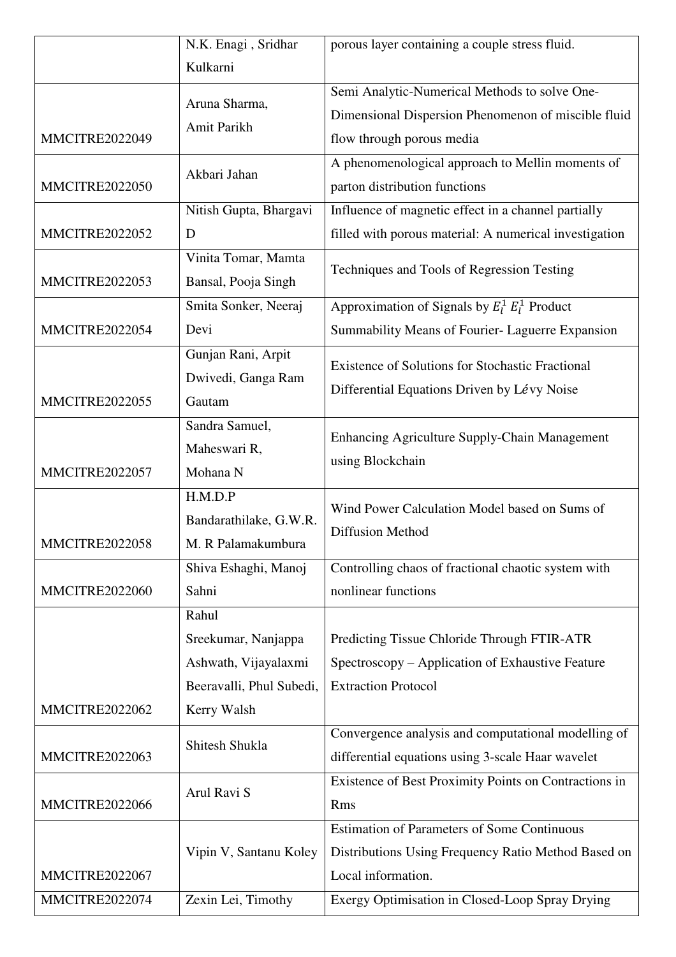|                       | N.K. Enagi, Sridhar      | porous layer containing a couple stress fluid.         |
|-----------------------|--------------------------|--------------------------------------------------------|
|                       | Kulkarni                 |                                                        |
|                       | Aruna Sharma,            | Semi Analytic-Numerical Methods to solve One-          |
|                       | Amit Parikh              | Dimensional Dispersion Phenomenon of miscible fluid    |
| <b>MMCITRE2022049</b> |                          | flow through porous media                              |
|                       | Akbari Jahan             | A phenomenological approach to Mellin moments of       |
| <b>MMCITRE2022050</b> |                          | parton distribution functions                          |
|                       | Nitish Gupta, Bhargavi   | Influence of magnetic effect in a channel partially    |
| <b>MMCITRE2022052</b> | D                        | filled with porous material: A numerical investigation |
|                       | Vinita Tomar, Mamta      | Techniques and Tools of Regression Testing             |
| <b>MMCITRE2022053</b> | Bansal, Pooja Singh      |                                                        |
|                       | Smita Sonker, Neeraj     | Approximation of Signals by $E_l^1 E_l^1$ Product      |
| MMCITRE2022054        | Devi                     | Summability Means of Fourier- Laguerre Expansion       |
|                       | Gunjan Rani, Arpit       | Existence of Solutions for Stochastic Fractional       |
|                       | Dwivedi, Ganga Ram       | Differential Equations Driven by Lévy Noise            |
| <b>MMCITRE2022055</b> | Gautam                   |                                                        |
|                       | Sandra Samuel,           | Enhancing Agriculture Supply-Chain Management          |
|                       | Maheswari R,             | using Blockchain                                       |
| <b>MMCITRE2022057</b> | Mohana N                 |                                                        |
|                       | H.M.D.P                  | Wind Power Calculation Model based on Sums of          |
|                       | Bandarathilake, G.W.R.   | <b>Diffusion Method</b>                                |
| <b>MMCITRE2022058</b> | M. R Palamakumbura       |                                                        |
|                       | Shiva Eshaghi, Manoj     | Controlling chaos of fractional chaotic system with    |
| <b>MMCITRE2022060</b> | Sahni                    | nonlinear functions                                    |
|                       | Rahul                    |                                                        |
|                       | Sreekumar, Nanjappa      | Predicting Tissue Chloride Through FTIR-ATR            |
|                       | Ashwath, Vijayalaxmi     | Spectroscopy – Application of Exhaustive Feature       |
|                       | Beeravalli, Phul Subedi, | <b>Extraction Protocol</b>                             |
| <b>MMCITRE2022062</b> | Kerry Walsh              |                                                        |
| <b>MMCITRE2022063</b> | Shitesh Shukla           | Convergence analysis and computational modelling of    |
|                       |                          | differential equations using 3-scale Haar wavelet      |
|                       | Arul Ravi S              | Existence of Best Proximity Points on Contractions in  |
| <b>MMCITRE2022066</b> |                          | <b>Rms</b>                                             |
|                       |                          | <b>Estimation of Parameters of Some Continuous</b>     |
|                       | Vipin V, Santanu Koley   | Distributions Using Frequency Ratio Method Based on    |
| MMCITRE2022067        |                          | Local information.                                     |
| MMCITRE2022074        | Zexin Lei, Timothy       | Exergy Optimisation in Closed-Loop Spray Drying        |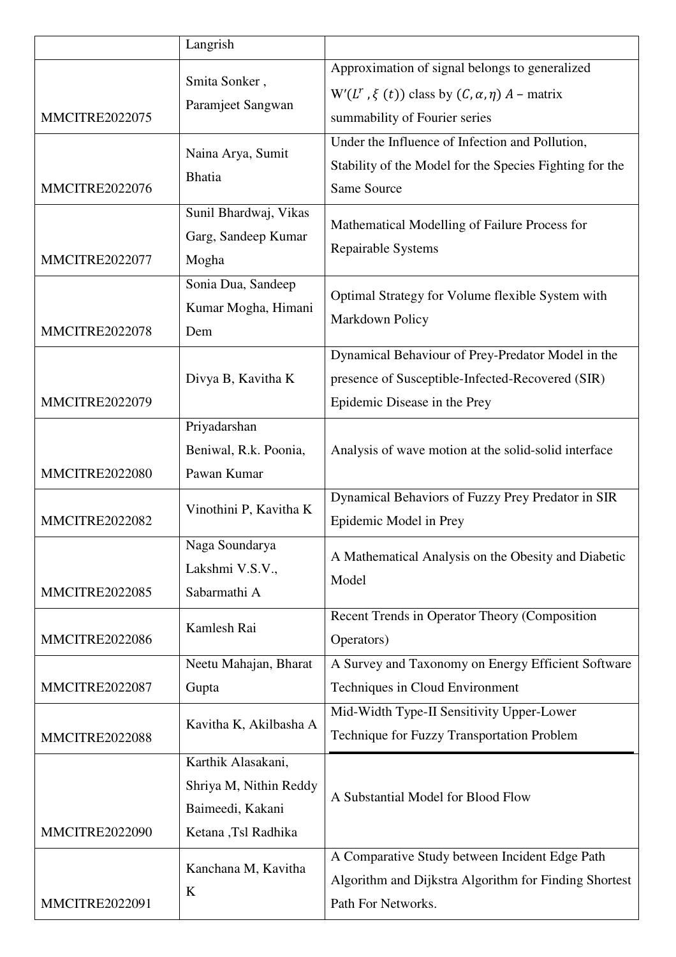|                       | Langrish                                                                                |                                                                                                                                              |
|-----------------------|-----------------------------------------------------------------------------------------|----------------------------------------------------------------------------------------------------------------------------------------------|
| <b>MMCITRE2022075</b> | Smita Sonker,<br>Paramjeet Sangwan                                                      | Approximation of signal belongs to generalized<br>$W'(L^r, \xi(t))$ class by $(C, \alpha, \eta)$ A – matrix<br>summability of Fourier series |
| <b>MMCITRE2022076</b> | Naina Arya, Sumit<br><b>Bhatia</b>                                                      | Under the Influence of Infection and Pollution,<br>Stability of the Model for the Species Fighting for the<br>Same Source                    |
| <b>MMCITRE2022077</b> | Sunil Bhardwaj, Vikas<br>Garg, Sandeep Kumar<br>Mogha                                   | Mathematical Modelling of Failure Process for<br>Repairable Systems                                                                          |
| <b>MMCITRE2022078</b> | Sonia Dua, Sandeep<br>Kumar Mogha, Himani<br>Dem                                        | Optimal Strategy for Volume flexible System with<br>Markdown Policy                                                                          |
| <b>MMCITRE2022079</b> | Divya B, Kavitha K                                                                      | Dynamical Behaviour of Prey-Predator Model in the<br>presence of Susceptible-Infected-Recovered (SIR)<br>Epidemic Disease in the Prey        |
| <b>MMCITRE2022080</b> | Priyadarshan<br>Beniwal, R.k. Poonia,<br>Pawan Kumar                                    | Analysis of wave motion at the solid-solid interface                                                                                         |
| <b>MMCITRE2022082</b> | Vinothini P, Kavitha K                                                                  | Dynamical Behaviors of Fuzzy Prey Predator in SIR<br>Epidemic Model in Prey                                                                  |
| <b>MMCITRE2022085</b> | Naga Soundarya<br>Lakshmi V.S.V.,<br>Sabarmathi A                                       | A Mathematical Analysis on the Obesity and Diabetic<br>Model                                                                                 |
| <b>MMCITRE2022086</b> | Kamlesh Rai                                                                             | Recent Trends in Operator Theory (Composition<br>Operators)                                                                                  |
| <b>MMCITRE2022087</b> | Neetu Mahajan, Bharat<br>Gupta                                                          | A Survey and Taxonomy on Energy Efficient Software<br>Techniques in Cloud Environment                                                        |
| <b>MMCITRE2022088</b> | Kavitha K, Akilbasha A                                                                  | Mid-Width Type-II Sensitivity Upper-Lower<br>Technique for Fuzzy Transportation Problem                                                      |
| <b>MMCITRE2022090</b> | Karthik Alasakani,<br>Shriya M, Nithin Reddy<br>Baimeedi, Kakani<br>Ketana ,Tsl Radhika | A Substantial Model for Blood Flow                                                                                                           |
| <b>MMCITRE2022091</b> | Kanchana M, Kavitha<br>K                                                                | A Comparative Study between Incident Edge Path<br>Algorithm and Dijkstra Algorithm for Finding Shortest<br>Path For Networks.                |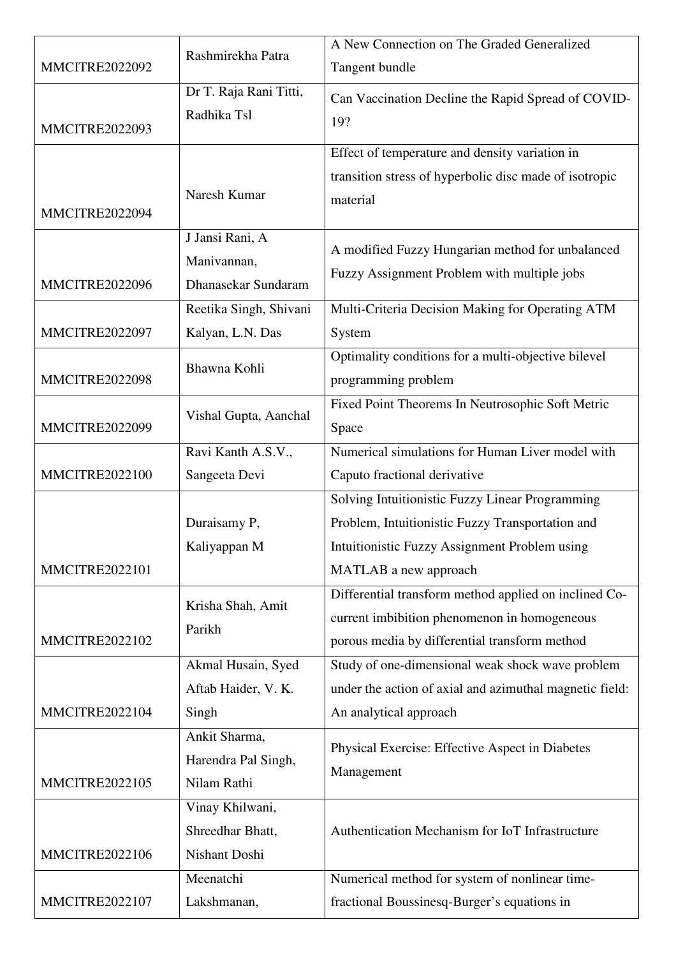| <b>MMCITRE2022092</b> | Rashmirekha Patra                             | A New Connection on The Graded Generalized              |
|-----------------------|-----------------------------------------------|---------------------------------------------------------|
|                       |                                               | Tangent bundle                                          |
|                       | Dr T. Raja Rani Titti,                        | Can Vaccination Decline the Rapid Spread of COVID-      |
| <b>MMCITRE2022093</b> | Radhika Tsl                                   | 19?                                                     |
|                       |                                               | Effect of temperature and density variation in          |
|                       |                                               | transition stress of hyperbolic disc made of isotropic  |
|                       | Naresh Kumar                                  | material                                                |
| <b>MMCITRE2022094</b> |                                               |                                                         |
|                       | J Jansi Rani, A                               | A modified Fuzzy Hungarian method for unbalanced        |
|                       | Manivannan,                                   | Fuzzy Assignment Problem with multiple jobs             |
| <b>MMCITRE2022096</b> | Dhanasekar Sundaram                           |                                                         |
|                       | Reetika Singh, Shivani                        | Multi-Criteria Decision Making for Operating ATM        |
| <b>MMCITRE2022097</b> | Kalyan, L.N. Das                              | System                                                  |
|                       | Bhawna Kohli                                  | Optimality conditions for a multi-objective bilevel     |
| <b>MMCITRE2022098</b> |                                               | programming problem                                     |
|                       | Vishal Gupta, Aanchal                         | Fixed Point Theorems In Neutrosophic Soft Metric        |
| <b>MMCITRE2022099</b> |                                               | Space                                                   |
|                       | Ravi Kanth A.S.V.,                            | Numerical simulations for Human Liver model with        |
| <b>MMCITRE2022100</b> | Sangeeta Devi                                 | Caputo fractional derivative                            |
|                       |                                               | Solving Intuitionistic Fuzzy Linear Programming         |
|                       | Duraisamy P,                                  | Problem, Intuitionistic Fuzzy Transportation and        |
|                       | Kaliyappan M                                  | Intuitionistic Fuzzy Assignment Problem using           |
| <b>MMCITRE2022101</b> |                                               | MATLAB a new approach                                   |
|                       | Krisha Shah, Amit                             | Differential transform method applied on inclined Co-   |
|                       | Parikh                                        | current imbibition phenomenon in homogeneous            |
| <b>MMCITRE2022102</b> | porous media by differential transform method |                                                         |
|                       | Akmal Husain, Syed                            | Study of one-dimensional weak shock wave problem        |
|                       | Aftab Haider, V. K.                           | under the action of axial and azimuthal magnetic field: |
| <b>MMCITRE2022104</b> | Singh                                         | An analytical approach                                  |
|                       | Ankit Sharma,                                 | Physical Exercise: Effective Aspect in Diabetes         |
|                       | Harendra Pal Singh,                           | Management                                              |
| <b>MMCITRE2022105</b> | Nilam Rathi                                   |                                                         |
|                       | Vinay Khilwani,                               |                                                         |
|                       | Shreedhar Bhatt,                              | Authentication Mechanism for IoT Infrastructure         |
| <b>MMCITRE2022106</b> | Nishant Doshi                                 |                                                         |
|                       | Meenatchi                                     | Numerical method for system of nonlinear time-          |
| <b>MMCITRE2022107</b> | Lakshmanan,                                   | fractional Boussinesq-Burger's equations in             |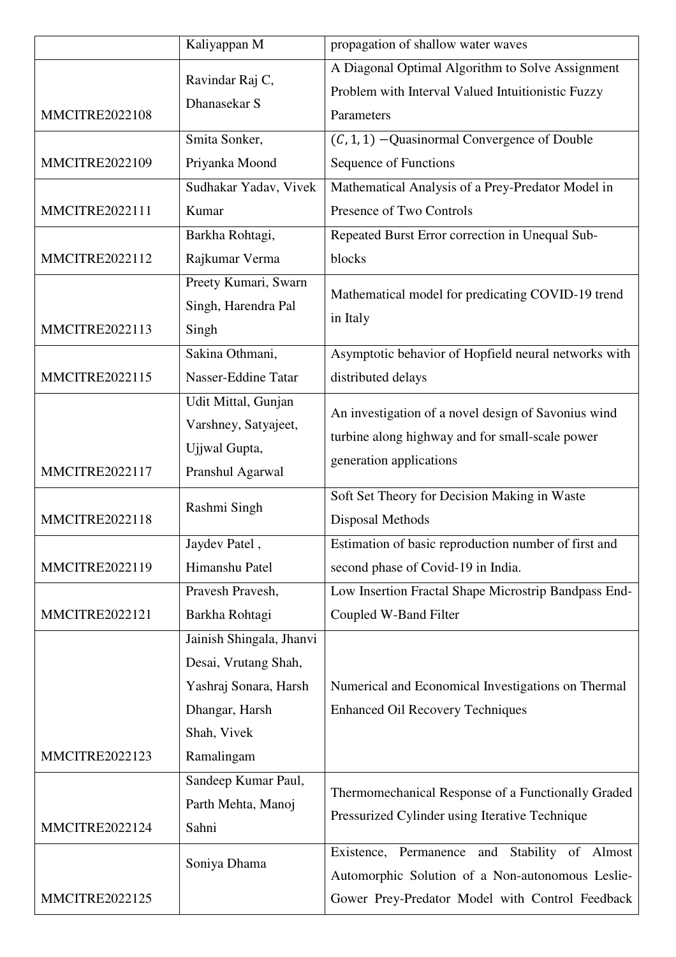|                       | Kaliyappan M             | propagation of shallow water waves                   |
|-----------------------|--------------------------|------------------------------------------------------|
|                       | Ravindar Raj C,          | A Diagonal Optimal Algorithm to Solve Assignment     |
|                       | Dhanasekar S             | Problem with Interval Valued Intuitionistic Fuzzy    |
| <b>MMCITRE2022108</b> |                          | Parameters                                           |
|                       | Smita Sonker,            | $(C, 1, 1)$ –Quasinormal Convergence of Double       |
| <b>MMCITRE2022109</b> | Priyanka Moond           | Sequence of Functions                                |
|                       | Sudhakar Yadav, Vivek    | Mathematical Analysis of a Prey-Predator Model in    |
| <b>MMCITRE2022111</b> | Kumar                    | Presence of Two Controls                             |
|                       | Barkha Rohtagi,          | Repeated Burst Error correction in Unequal Sub-      |
| <b>MMCITRE2022112</b> | Rajkumar Verma           | blocks                                               |
|                       | Preety Kumari, Swarn     | Mathematical model for predicating COVID-19 trend    |
|                       | Singh, Harendra Pal      | in Italy                                             |
| <b>MMCITRE2022113</b> | Singh                    |                                                      |
|                       | Sakina Othmani,          | Asymptotic behavior of Hopfield neural networks with |
| <b>MMCITRE2022115</b> | Nasser-Eddine Tatar      | distributed delays                                   |
|                       | Udit Mittal, Gunjan      | An investigation of a novel design of Savonius wind  |
|                       | Varshney, Satyajeet,     | turbine along highway and for small-scale power      |
|                       | Ujjwal Gupta,            |                                                      |
| <b>MMCITRE2022117</b> | Pranshul Agarwal         | generation applications                              |
|                       | Rashmi Singh             | Soft Set Theory for Decision Making in Waste         |
| <b>MMCITRE2022118</b> |                          | Disposal Methods                                     |
|                       | Jaydev Patel,            | Estimation of basic reproduction number of first and |
| <b>MMCITRE2022119</b> | Himanshu Patel           | second phase of Covid-19 in India.                   |
|                       | Pravesh Pravesh,         | Low Insertion Fractal Shape Microstrip Bandpass End- |
| <b>MMCITRE2022121</b> | Barkha Rohtagi           | Coupled W-Band Filter                                |
|                       | Jainish Shingala, Jhanvi |                                                      |
|                       | Desai, Vrutang Shah,     |                                                      |
|                       | Yashraj Sonara, Harsh    | Numerical and Economical Investigations on Thermal   |
|                       | Dhangar, Harsh           | <b>Enhanced Oil Recovery Techniques</b>              |
|                       | Shah, Vivek              |                                                      |
| MMCITRE2022123        | Ramalingam               |                                                      |
|                       | Sandeep Kumar Paul,      | Thermomechanical Response of a Functionally Graded   |
|                       | Parth Mehta, Manoj       | Pressurized Cylinder using Iterative Technique       |
| MMCITRE2022124        | Sahni                    |                                                      |
|                       | Soniya Dhama             | Stability of Almost<br>Existence, Permanence<br>and  |
|                       |                          | Automorphic Solution of a Non-autonomous Leslie-     |
| <b>MMCITRE2022125</b> |                          | Gower Prey-Predator Model with Control Feedback      |